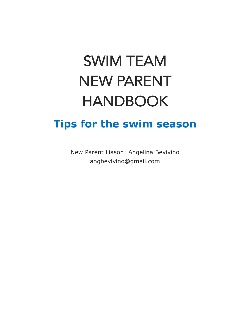# SWIM TEAM NEW PARENT HANDBOOK

#### **Tips for the swim season**

New Parent Liason: Angelina Bevivino angbevivino@gmail.com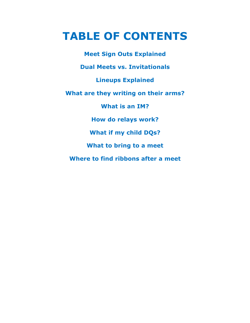## **TABLE OF CONTENTS**

**Meet Sign Outs Explained Dual Meets vs. Invitationals Lineups Explained What are they writing on their arms? What is an IM? How do relays work? What if my child DQs? What to bring to a meet Where to find ribbons after a meet**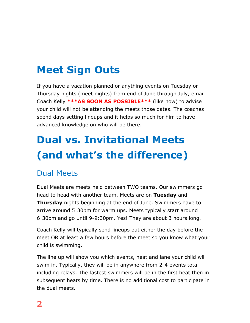## **Meet Sign Outs**

If you have a vacation planned or anything events on Tuesday or Thursday nights (meet nights) from end of June through July, email Coach Kelly **\*\*\*AS SOON AS POSSIBLE\*\*\*** (like now) to advise your child will not be attending the meets those dates. The coaches spend days setting lineups and it helps so much for him to have advanced knowledge on who will be there.

# **Dual vs. Invitational Meets (and what's the difference)**

#### Dual Meets

Dual Meets are meets held between TWO teams. Our swimmers go head to head with another team. Meets are on **Tuesday** and **Thursday** nights beginning at the end of June. Swimmers have to arrive around 5:30pm for warm ups. Meets typically start around 6:30pm and go until 9-9:30pm. Yes! They are about 3 hours long.

Coach Kelly will typically send lineups out either the day before the meet OR at least a few hours before the meet so you know what your child is swimming.

The line up will show you which events, heat and lane your child will swim in. Typically, they will be in anywhere from 2-4 events total including relays. The fastest swimmers will be in the first heat then in subsequent heats by time. There is no additional cost to participate in the dual meets.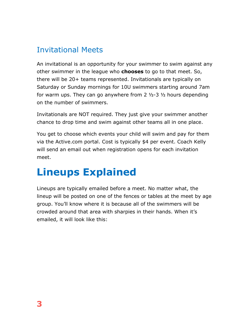#### Invitational Meets

An invitational is an opportunity for your swimmer to swim against any other swimmer in the league who **chooses** to go to that meet. So, there will be 20+ teams represented. Invitationals are typically on Saturday or Sunday mornings for 10U swimmers starting around 7am for warm ups. They can go anywhere from  $2 \frac{1}{2} - 3 \frac{1}{2}$  hours depending on the number of swimmers.

Invitationals are NOT required. They just give your swimmer another chance to drop time and swim against other teams all in one place.

You get to choose which events your child will swim and pay for them via the Active.com portal. Cost is typically \$4 per event. Coach Kelly will send an email out when registration opens for each invitation meet.

## **Lineups Explained**

Lineups are typically emailed before a meet. No matter what, the lineup will be posted on one of the fences or tables at the meet by age group. You'll know where it is because all of the swimmers will be crowded around that area with sharpies in their hands. When it's emailed, it will look like this: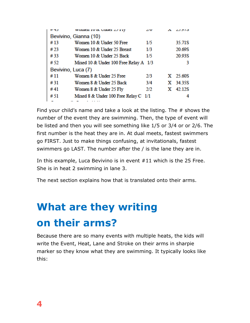| 11 H.J                | WOHICH TO OC URREL ZJ FTY            | ΖW  |  | נוענג      |
|-----------------------|--------------------------------------|-----|--|------------|
| Bevivino, Gianna (10) |                                      |     |  |            |
| #13                   | Women 10 & Under 50 Free             | 1/5 |  | 35.71S     |
| #23                   | Women 10 & Under 25 Breast           | 1/3 |  | 20.69S     |
| #33                   | Women 10 & Under 25 Back             | 1/5 |  | 20.93S     |
| # 52                  | Mixed 10 & Under 100 Free Relay A    | 1/3 |  | 3          |
| Bevivino, Luca (7)    |                                      |     |  |            |
| #11                   | Women 8 & Under 25 Free              | 2/3 |  | $X$ 25.60S |
| #31                   | Women 8 & Under 25 Back              | 3/4 |  | X 34.35S   |
| #41                   | Women 8 & Under 25 Fly               | 2/2 |  | X 42.12S   |
| #51                   | Mixed 8 & Under 100 Free Relay C 1/1 |     |  | 4          |
|                       |                                      |     |  |            |

Find your child's name and take a look at the listing. The # shows the number of the event they are swimming. Then, the type of event will be listed and then you will see something like 1/5 or 3/4 or or 2/6. The first number is the heat they are in. At dual meets, fastest swimmers go FIRST. Just to make things confusing, at invitationals, fastest swimmers go LAST. The number after the / is the lane they are in.

In this example, Luca Bevivino is in event #11 which is the 25 Free. She is in heat 2 swimming in lane 3.

The next section explains how that is translated onto their arms.

# **What are they writing on their arms?**

Because there are so many events with multiple heats, the kids will write the Event, Heat, Lane and Stroke on their arms in sharpie marker so they know what they are swimming. It typically looks like this: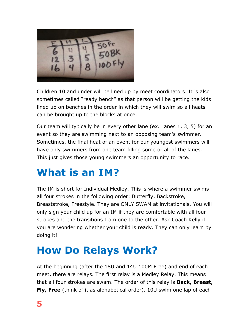

Children 10 and under will be lined up by meet coordinators. It is also sometimes called "ready bench" as that person will be getting the kids lined up on benches in the order in which they will swim so all heats can be brought up to the blocks at once.

Our team will typically be in every other lane (ex. Lanes 1, 3, 5) for an event so they are swimming next to an opposing team's swimmer. Sometimes, the final heat of an event for our youngest swimmers will have only swimmers from one team filling some or all of the lanes. This just gives those young swimmers an opportunity to race.

## **What is an IM?**

The IM is short for Individual Medley. This is where a swimmer swims all four strokes in the following order: Butterfly, Backstroke, Breaststroke, Freestyle. They are ONLY SWAM at invitationals. You will only sign your child up for an IM if they are comfortable with all four strokes and the transitions from one to the other. Ask Coach Kelly if you are wondering whether your child is ready. They can only learn by doing it!

#### **How Do Relays Work?**

At the beginning (after the 18U and 14U 100M Free) and end of each meet, there are relays. The first relay is a Medley Relay. This means that all four strokes are swam. The order of this relay is **Back, Breast, Fly, Free** (think of it as alphabetical order). 10U swim one lap of each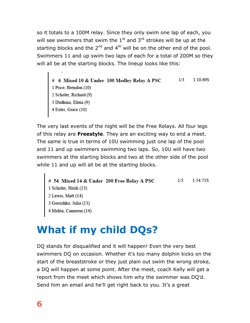so it totals to a 100M relay. Since they only swim one lap of each, you will see swimmers that swim the  $1<sup>st</sup>$  and  $3<sup>rd</sup>$  strokes will be up at the starting blocks and the  $2^{nd}$  and  $4^{th}$  will be on the other end of the pool. Swimmers 11 and up swim two laps of each for a total of 200M so they will all be at the starting blocks. The lineup looks like this:

# 6 Mixed 10 & Under 100 Medley Relay A PSC  $1/3$  $1:10.69S$ 1 Price, Brendon (10) 2 Scholer, Richard (9)<br>3 Dudkina, Elena (9)  $4$  Exler, Grace  $(10)$ 

The very last events of the night will be the Free Relays. All four legs of this relay are **Freestyle**. They are an exciting way to end a meet. The same is true in terms of 10U swimming just one lap of the pool and 11 and up swimmers swimming two laps. So, 10U will have two swimmers at the starting blocks and two at the other side of the pool while 11 and up will all be at the starting blocks.

```
# 54 Mixed 14 & Under 200 Free Relay A PSC
                                                           1/31:54.71S1 Scholer, Heidi (13)
2 Lewis, Matt (14)
3 Goroshko, Julia (13)
4 Mehta, Cameron (14)
```
## **What if my child DQs?**

DQ stands for disqualified and it will happen! Even the very best swimmers DQ on occasion. Whether it's too many dolphin kicks on the start of the breaststroke or they just plain out swim the wrong stroke, a DQ will happen at some point. After the meet, coach Kelly will get a report from the meet which shows him why the swimmer was DQ'd. Send him an email and he'll get right back to you. It's a great